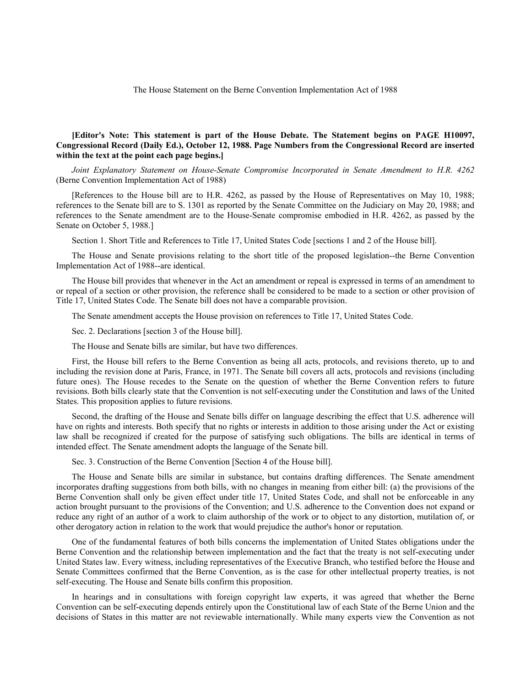The House Statement on the Berne Convention Implementation Act of 1988

## **[Editor's Note: This statement is part of the House Debate. The Statement begins on PAGE H10097, Congressional Record (Daily Ed.), October 12, 1988. Page Numbers from the Congressional Record are inserted within the text at the point each page begins.]**

*Joint Explanatory Statement on House-Senate Compromise Incorporated in Senate Amendment to H.R. 4262* (Berne Convention Implementation Act of 1988)

[References to the House bill are to H.R. 4262, as passed by the House of Representatives on May 10, 1988; references to the Senate bill are to S. 1301 as reported by the Senate Committee on the Judiciary on May 20, 1988; and references to the Senate amendment are to the House-Senate compromise embodied in H.R. 4262, as passed by the Senate on October 5, 1988.]

Section 1. Short Title and References to Title 17, United States Code [sections 1 and 2 of the House bill].

The House and Senate provisions relating to the short title of the proposed legislation--the Berne Convention Implementation Act of 1988--are identical.

The House bill provides that whenever in the Act an amendment or repeal is expressed in terms of an amendment to or repeal of a section or other provision, the reference shall be considered to be made to a section or other provision of Title 17, United States Code. The Senate bill does not have a comparable provision.

The Senate amendment accepts the House provision on references to Title 17, United States Code.

Sec. 2. Declarations [section 3 of the House bill].

The House and Senate bills are similar, but have two differences.

First, the House bill refers to the Berne Convention as being all acts, protocols, and revisions thereto, up to and including the revision done at Paris, France, in 1971. The Senate bill covers all acts, protocols and revisions (including future ones). The House recedes to the Senate on the question of whether the Berne Convention refers to future revisions. Both bills clearly state that the Convention is not self-executing under the Constitution and laws of the United States. This proposition applies to future revisions.

Second, the drafting of the House and Senate bills differ on language describing the effect that U.S. adherence will have on rights and interests. Both specify that no rights or interests in addition to those arising under the Act or existing law shall be recognized if created for the purpose of satisfying such obligations. The bills are identical in terms of intended effect. The Senate amendment adopts the language of the Senate bill.

Sec. 3. Construction of the Berne Convention [Section 4 of the House bill].

The House and Senate bills are similar in substance, but contains drafting differences. The Senate amendment incorporates drafting suggestions from both bills, with no changes in meaning from either bill: (a) the provisions of the Berne Convention shall only be given effect under title 17, United States Code, and shall not be enforceable in any action brought pursuant to the provisions of the Convention; and U.S. adherence to the Convention does not expand or reduce any right of an author of a work to claim authorship of the work or to object to any distortion, mutilation of, or other derogatory action in relation to the work that would prejudice the author's honor or reputation.

One of the fundamental features of both bills concerns the implementation of United States obligations under the Berne Convention and the relationship between implementation and the fact that the treaty is not self-executing under United States law. Every witness, including representatives of the Executive Branch, who testified before the House and Senate Committees confirmed that the Berne Convention, as is the case for other intellectual property treaties, is not self-executing. The House and Senate bills confirm this proposition.

In hearings and in consultations with foreign copyright law experts, it was agreed that whether the Berne Convention can be self-executing depends entirely upon the Constitutional law of each State of the Berne Union and the decisions of States in this matter are not reviewable internationally. While many experts view the Convention as not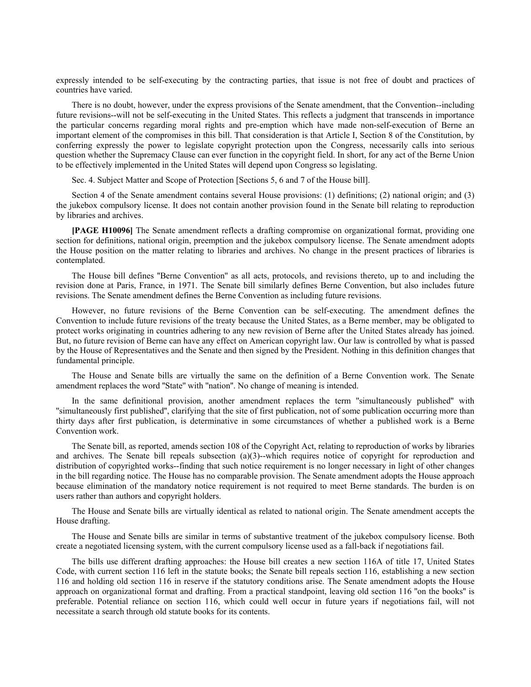expressly intended to be self-executing by the contracting parties, that issue is not free of doubt and practices of countries have varied.

There is no doubt, however, under the express provisions of the Senate amendment, that the Convention--including future revisions--will not be self-executing in the United States. This reflects a judgment that transcends in importance the particular concerns regarding moral rights and pre-emption which have made non-self-execution of Berne an important element of the compromises in this bill. That consideration is that Article I, Section 8 of the Constitution, by conferring expressly the power to legislate copyright protection upon the Congress, necessarily calls into serious question whether the Supremacy Clause can ever function in the copyright field. In short, for any act of the Berne Union to be effectively implemented in the United States will depend upon Congress so legislating.

Sec. 4. Subject Matter and Scope of Protection [Sections 5, 6 and 7 of the House bill].

Section 4 of the Senate amendment contains several House provisions: (1) definitions; (2) national origin; and (3) the jukebox compulsory license. It does not contain another provision found in the Senate bill relating to reproduction by libraries and archives.

**[PAGE H10096]** The Senate amendment reflects a drafting compromise on organizational format, providing one section for definitions, national origin, preemption and the jukebox compulsory license. The Senate amendment adopts the House position on the matter relating to libraries and archives. No change in the present practices of libraries is contemplated.

The House bill defines ''Berne Convention'' as all acts, protocols, and revisions thereto, up to and including the revision done at Paris, France, in 1971. The Senate bill similarly defines Berne Convention, but also includes future revisions. The Senate amendment defines the Berne Convention as including future revisions.

However, no future revisions of the Berne Convention can be self-executing. The amendment defines the Convention to include future revisions of the treaty because the United States, as a Berne member, may be obligated to protect works originating in countries adhering to any new revision of Berne after the United States already has joined. But, no future revision of Berne can have any effect on American copyright law. Our law is controlled by what is passed by the House of Representatives and the Senate and then signed by the President. Nothing in this definition changes that fundamental principle.

The House and Senate bills are virtually the same on the definition of a Berne Convention work. The Senate amendment replaces the word ''State'' with ''nation''. No change of meaning is intended.

In the same definitional provision, another amendment replaces the term ''simultaneously published'' with ''simultaneously first published'', clarifying that the site of first publication, not of some publication occurring more than thirty days after first publication, is determinative in some circumstances of whether a published work is a Berne Convention work.

The Senate bill, as reported, amends section 108 of the Copyright Act, relating to reproduction of works by libraries and archives. The Senate bill repeals subsection  $(a)(3)$ --which requires notice of copyright for reproduction and distribution of copyrighted works--finding that such notice requirement is no longer necessary in light of other changes in the bill regarding notice. The House has no comparable provision. The Senate amendment adopts the House approach because elimination of the mandatory notice requirement is not required to meet Berne standards. The burden is on users rather than authors and copyright holders.

The House and Senate bills are virtually identical as related to national origin. The Senate amendment accepts the House drafting.

The House and Senate bills are similar in terms of substantive treatment of the jukebox compulsory license. Both create a negotiated licensing system, with the current compulsory license used as a fall-back if negotiations fail.

The bills use different drafting approaches: the House bill creates a new section 116A of title 17, United States Code, with current section 116 left in the statute books; the Senate bill repeals section 116, establishing a new section 116 and holding old section 116 in reserve if the statutory conditions arise. The Senate amendment adopts the House approach on organizational format and drafting. From a practical standpoint, leaving old section 116 ''on the books'' is preferable. Potential reliance on section 116, which could well occur in future years if negotiations fail, will not necessitate a search through old statute books for its contents.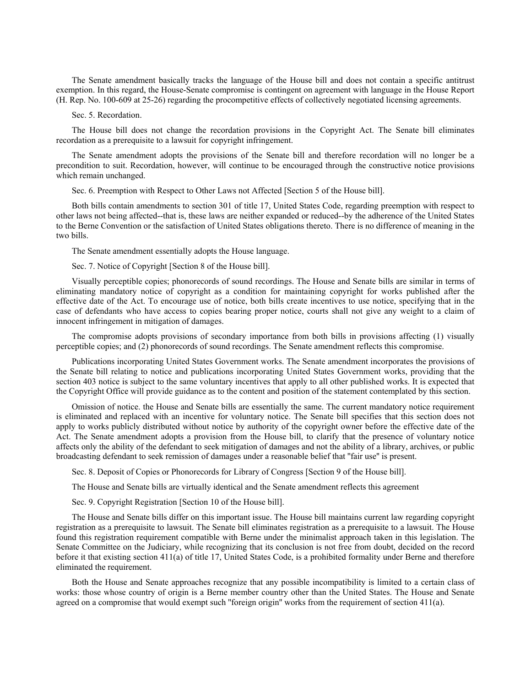The Senate amendment basically tracks the language of the House bill and does not contain a specific antitrust exemption. In this regard, the House-Senate compromise is contingent on agreement with language in the House Report (H. Rep. No. 100-609 at 25-26) regarding the procompetitive effects of collectively negotiated licensing agreements.

## Sec. 5. Recordation.

The House bill does not change the recordation provisions in the Copyright Act. The Senate bill eliminates recordation as a prerequisite to a lawsuit for copyright infringement.

The Senate amendment adopts the provisions of the Senate bill and therefore recordation will no longer be a precondition to suit. Recordation, however, will continue to be encouraged through the constructive notice provisions which remain unchanged.

Sec. 6. Preemption with Respect to Other Laws not Affected [Section 5 of the House bill].

Both bills contain amendments to section 301 of title 17, United States Code, regarding preemption with respect to other laws not being affected--that is, these laws are neither expanded or reduced--by the adherence of the United States to the Berne Convention or the satisfaction of United States obligations thereto. There is no difference of meaning in the two bills.

The Senate amendment essentially adopts the House language.

Sec. 7. Notice of Copyright [Section 8 of the House bill].

Visually perceptible copies; phonorecords of sound recordings. The House and Senate bills are similar in terms of eliminating mandatory notice of copyright as a condition for maintaining copyright for works published after the effective date of the Act. To encourage use of notice, both bills create incentives to use notice, specifying that in the case of defendants who have access to copies bearing proper notice, courts shall not give any weight to a claim of innocent infringement in mitigation of damages.

The compromise adopts provisions of secondary importance from both bills in provisions affecting (1) visually perceptible copies; and (2) phonorecords of sound recordings. The Senate amendment reflects this compromise.

Publications incorporating United States Government works. The Senate amendment incorporates the provisions of the Senate bill relating to notice and publications incorporating United States Government works, providing that the section 403 notice is subject to the same voluntary incentives that apply to all other published works. It is expected that the Copyright Office will provide guidance as to the content and position of the statement contemplated by this section.

Omission of notice. the House and Senate bills are essentially the same. The current mandatory notice requirement is eliminated and replaced with an incentive for voluntary notice. The Senate bill specifies that this section does not apply to works publicly distributed without notice by authority of the copyright owner before the effective date of the Act. The Senate amendment adopts a provision from the House bill, to clarify that the presence of voluntary notice affects only the ability of the defendant to seek mitigation of damages and not the ability of a library, archives, or public broadcasting defendant to seek remission of damages under a reasonable belief that ''fair use'' is present.

Sec. 8. Deposit of Copies or Phonorecords for Library of Congress [Section 9 of the House bill].

The House and Senate bills are virtually identical and the Senate amendment reflects this agreement

Sec. 9. Copyright Registration [Section 10 of the House bill].

The House and Senate bills differ on this important issue. The House bill maintains current law regarding copyright registration as a prerequisite to lawsuit. The Senate bill eliminates registration as a prerequisite to a lawsuit. The House found this registration requirement compatible with Berne under the minimalist approach taken in this legislation. The Senate Committee on the Judiciary, while recognizing that its conclusion is not free from doubt, decided on the record before it that existing section 411(a) of title 17, United States Code, is a prohibited formality under Berne and therefore eliminated the requirement.

Both the House and Senate approaches recognize that any possible incompatibility is limited to a certain class of works: those whose country of origin is a Berne member country other than the United States. The House and Senate agreed on a compromise that would exempt such ''foreign origin'' works from the requirement of section 411(a).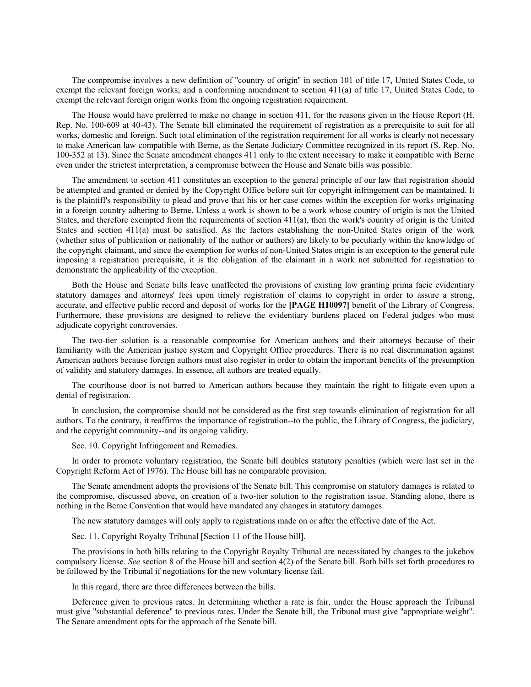The compromise involves a new definition of ''country of origin'' in section 101 of title 17, United States Code, to exempt the relevant foreign works; and a conforming amendment to section 411(a) of title 17, United States Code, to exempt the relevant foreign origin works from the ongoing registration requirement.

The House would have preferred to make no change in section 411, for the reasons given in the House Report (H. Rep. No. 100-609 at 40-43). The Senate bill eliminated the requirement of registration as a prerequisite to suit for all works, domestic and foreign. Such total elimination of the registration requirement for all works is clearly not necessary to make American law compatible with Berne, as the Senate Judiciary Committee recognized in its report (S. Rep. No. 100-352 at 13). Since the Senate amendment changes 411 only to the extent necessary to make it compatible with Berne even under the strictest interpretation, a compromise between the House and Senate bills was possible.

The amendment to section 411 constitutes an exception to the general principle of our law that registration should be attempted and granted or denied by the Copyright Office before suit for copyright infringement can be maintained. It is the plaintiff's responsibility to plead and prove that his or her case comes within the exception for works originating in a foreign country adhering to Berne. Unless a work is shown to be a work whose country of origin is not the United States, and therefore exempted from the requirements of section 411(a), then the work's country of origin is the United States and section 411(a) must be satisfied. As the factors establishing the non-United States origin of the work (whether situs of publication or nationality of the author or authors) are likely to be peculiarly within the knowledge of the copyright claimant, and since the exemption for works of non-United States origin is an exception to the general rule imposing a registration prerequisite, it is the obligation of the claimant in a work not submitted for registration to demonstrate the applicability of the exception.

Both the House and Senate bills leave unaffected the provisions of existing law granting prima facie evidentiary statutory damages and attorneys' fees upon timely registration of claims to copyright in order to assure a strong, accurate, and effective public record and deposit of works for the **[PAGE H10097]** benefit of the Library of Congress. Furthermore, these provisions are designed to relieve the evidentiary burdens placed on Federal judges who must adjudicate copyright controversies.

The two-tier solution is a reasonable compromise for American authors and their attorneys because of their familiarity with the American justice system and Copyright Office procedures. There is no real discrimination against American authors because foreign authors must also register in order to obtain the important benefits of the presumption of validity and statutory damages. In essence, all authors are treated equally.

The courthouse door is not barred to American authors because they maintain the right to litigate even upon a denial of registration.

In conclusion, the compromise should not be considered as the first step towards elimination of registration for all authors. To the contrary, it reaffirms the importance of registration--to the public, the Library of Congress, the judiciary, and the copyright community--and its ongoing validity.

Sec. 10. Copyright Infringement and Remedies.

In order to promote voluntary registration, the Senate bill doubles statutory penalties (which were last set in the Copyright Reform Act of 1976). The House bill has no comparable provision.

The Senate amendment adopts the provisions of the Senate bill. This compromise on statutory damages is related to the compromise, discussed above, on creation of a two-tier solution to the registration issue. Standing alone, there is nothing in the Berne Convention that would have mandated any changes in statutory damages.

The new statutory damages will only apply to registrations made on or after the effective date of the Act.

Sec. 11. Copyright Royalty Tribunal [Section 11 of the House bill].

The provisions in both bills relating to the Copyright Royalty Tribunal are necessitated by changes to the jukebox compulsory license. *See* section 8 of the House bill and section 4(2) of the Senate bill. Both bills set forth procedures to be followed by the Tribunal if negotiations for the new voluntary license fail.

In this regard, there are three differences between the bills.

Deference given to previous rates. In determining whether a rate is fair, under the House approach the Tribunal must give ''substantial deference'' to previous rates. Under the Senate bill, the Tribunal must give ''appropriate weight''. The Senate amendment opts for the approach of the Senate bill.